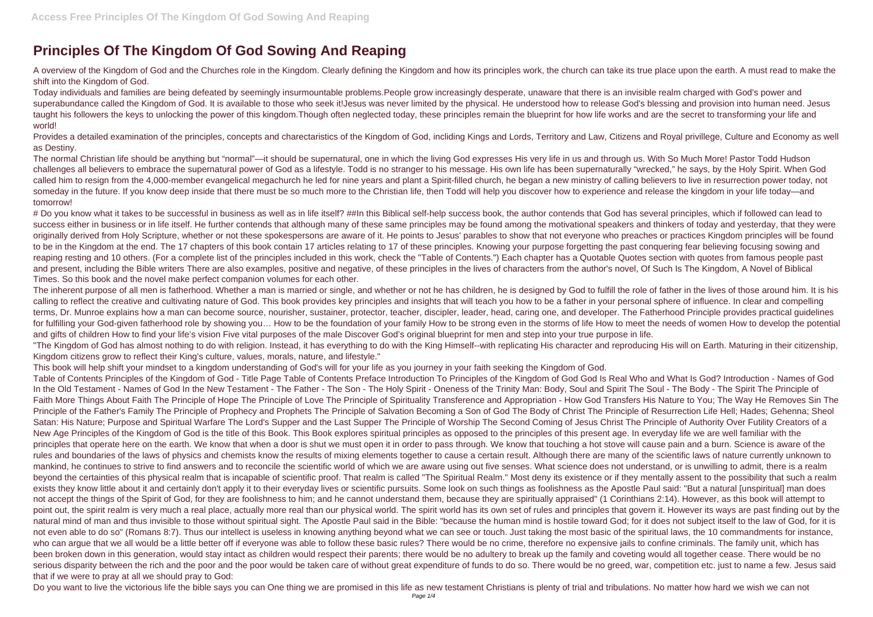## **Principles Of The Kingdom Of God Sowing And Reaping**

A overview of the Kingdom of God and the Churches role in the Kingdom. Clearly defining the Kingdom and how its principles work, the church can take its true place upon the earth. A must read to make the shift into the Kingdom of God.

Provides a detailed examination of the principles, concepts and charectaristics of the Kingdom of God, incliding Kings and Lords, Territory and Law, Citizens and Royal privillege, Culture and Economy as well as Destiny.

Today individuals and families are being defeated by seemingly insurmountable problems.People grow increasingly desperate, unaware that there is an invisible realm charged with God's power and superabundance called the Kingdom of God. It is available to those who seek it! Jesus was never limited by the physical. He understood how to release God's blessing and provision into human need. Jesus taught his followers the keys to unlocking the power of this kingdom.Though often neglected today, these principles remain the blueprint for how life works and are the secret to transforming your life and world!

The normal Christian life should be anything but "normal"—it should be supernatural, one in which the living God expresses His very life in us and through us. With So Much More! Pastor Todd Hudson challenges all believers to embrace the supernatural power of God as a lifestyle. Todd is no stranger to his message. His own life has been supernaturally "wrecked," he says, by the Holy Spirit. When God called him to resign from the 4,000-member evangelical megachurch he led for nine years and plant a Spirit-filled church, he began a new ministry of calling believers to live in resurrection power today, not someday in the future. If you know deep inside that there must be so much more to the Christian life, then Todd will help you discover how to experience and release the kingdom in your life today—and tomorrow!

# Do you know what it takes to be successful in business as well as in life itself? ##In this Biblical self-help success book, the author contends that God has several principles, which if followed can lead to success either in business or in life itself. He further contends that although many of these same principles may be found among the motivational speakers and thinkers of today and yesterday, that they were originally derived from Holy Scripture, whether or not these spokespersons are aware of it. He points to Jesus' parables to show that not everyone who preaches or practices Kingdom principles will be found to be in the Kingdom at the end. The 17 chapters of this book contain 17 articles relating to 17 of these principles. Knowing your purpose forgetting the past conquering fear believing focusing sowing and reaping resting and 10 others. (For a complete list of the principles included in this work, check the "Table of Contents.") Each chapter has a Quotable Quotes section with quotes from famous people past and present, including the Bible writers There are also examples, positive and negative, of these principles in the lives of characters from the author's novel, Of Such Is The Kingdom, A Novel of Biblical Times. So this book and the novel make perfect companion volumes for each other.

The inherent purpose of all men is fatherhood. Whether a man is married or single, and whether or not he has children, he is designed by God to fulfill the role of father in the lives of those around him. It is his calling to reflect the creative and cultivating nature of God. This book provides key principles and insights that will teach you how to be a father in your personal sphere of influence. In clear and compelling terms, Dr. Munroe explains how a man can become source, nourisher, sustainer, protector, teacher, discipler, leader, head, caring one, and developer. The Fatherhood Principle provides practical guidelines for fulfilling your God-given fatherhood role by showing you... How to be the foundation of your family How to be strong even in the storms of life How to meet the needs of women How to develop the potential and gifts of children How to find your life's vision Five vital purposes of the male Discover God's original blueprint for men and step into your true purpose in life. "The Kingdom of God has almost nothing to do with religion. Instead, it has everything to do with the King Himself--with replicating His character and reproducing His will on Earth. Maturing in their citizenship, Kingdom citizens grow to reflect their King's culture, values, morals, nature, and lifestyle."

This book will help shift your mindset to a kingdom understanding of God's will for your life as you journey in your faith seeking the Kingdom of God.

Table of Contents Principles of the Kingdom of God - Title Page Table of Contents Preface Introduction To Principles of the Kingdom of God God Is Real Who and What Is God? Introduction - Names of God In the Old Testament - Names of God In the New Testament - The Father - The Son - The Holy Spirit - Oneness of the Trinity Man: Body, Soul and Spirit The Soul - The Body - The Spirit The Principle of Faith More Things About Faith The Principle of Hope The Principle of Love The Principle of Spirituality Transference and Appropriation - How God Transfers His Nature to You; The Way He Removes Sin The Principle of the Father's Family The Principle of Prophecy and Prophets The Principle of Salvation Becoming a Son of God The Body of Christ The Principle of Resurrection Life Hell; Hades; Gehenna; Sheol Satan: His Nature; Purpose and Spiritual Warfare The Lord's Supper and the Last Supper The Principle of Worship The Second Coming of Jesus Christ The Principle of Authority Over Futility Creators of a New Age Principles of the Kingdom of God is the title of this Book. This Book explores spiritual principles as opposed to the principles of this present age. In everyday life we are well familiar with the principles that operate here on the earth. We know that when a door is shut we must open it in order to pass through. We know that touching a hot stove will cause pain and a burn. Science is aware of the rules and boundaries of the laws of physics and chemists know the results of mixing elements together to cause a certain result. Although there are many of the scientific laws of nature currently unknown to mankind, he continues to strive to find answers and to reconcile the scientific world of which we are aware using out five senses. What science does not understand, or is unwilling to admit, there is a realm beyond the certainties of this physical realm that is incapable of scientific proof. That realm is called "The Spiritual Realm." Most deny its existence or if they mentally assent to the possibility that such a realm exists they know little about it and certainly don't apply it to their everyday lives or scientific pursuits. Some look on such things as foolishness as the Apostle Paul said: "But a natural [unspiritual] man does not accept the things of the Spirit of God, for they are foolishness to him; and he cannot understand them, because they are spiritually appraised" (1 Corinthians 2:14). However, as this book will attempt to point out, the spirit realm is very much a real place, actually more real than our physical world. The spirit world has its own set of rules and principles that govern it. However its ways are past finding out by the natural mind of man and thus invisible to those without spiritual sight. The Apostle Paul said in the Bible: "because the human mind is hostile toward God; for it does not subject itself to the law of God, for it is not even able to do so" (Romans 8:7). Thus our intellect is useless in knowing anything beyond what we can see or touch. Just taking the most basic of the spiritual laws, the 10 commandments for instance, who can argue that we all would be a little better off if everyone was able to follow these basic rules? There would be no crime, therefore no expensive jails to confine criminals. The family unit, which has been broken down in this generation, would stay intact as children would respect their parents; there would be no adultery to break up the family and coveting would all together cease. There would be no serious disparity between the rich and the poor and the poor would be taken care of without great expenditure of funds to do so. There would be no greed, war, competition etc. just to name a few. Jesus said that if we were to pray at all we should pray to God:

Do you want to live the victorious life the bible says you can One thing we are promised in this life as new testament Christians is plenty of trial and tribulations. No matter how hard we wish we can not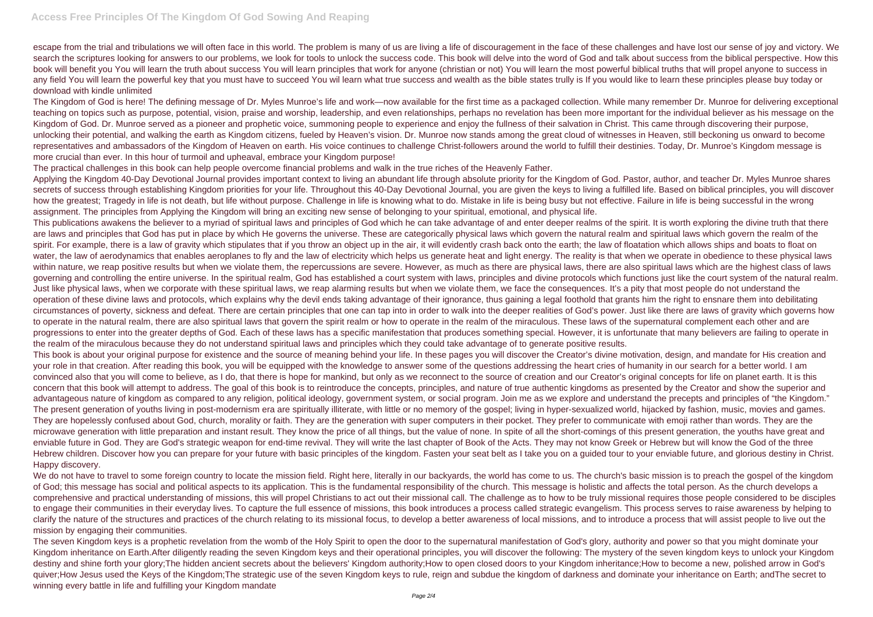escape from the trial and tribulations we will often face in this world. The problem is many of us are living a life of discouragement in the face of these challenges and have lost our sense of joy and victory. We search the scriptures looking for answers to our problems, we look for tools to unlock the success code. This book will delve into the word of God and talk about success from the biblical perspective. How this book will benefit you You will learn the truth about success You will learn principles that work for anyone (christian or not) You will learn the most powerful biblical truths that will propel anyone to success in any field You will learn the powerful key that you must have to succeed You wil learn what true success and wealth as the bible states trully is If you would like to learn these principles please buy today or download with kindle unlimited

The Kingdom of God is here! The defining message of Dr. Myles Munroe's life and work—now available for the first time as a packaged collection. While many remember Dr. Munroe for delivering exceptional teaching on topics such as purpose, potential, vision, praise and worship, leadership, and even relationships, perhaps no revelation has been more important for the individual believer as his message on the Kingdom of God. Dr. Munroe served as a pioneer and prophetic voice, summoning people to experience and enjoy the fullness of their salvation in Christ. This came through discovering their purpose, unlocking their potential, and walking the earth as Kingdom citizens, fueled by Heaven's vision. Dr. Munroe now stands among the great cloud of witnesses in Heaven, still beckoning us onward to become representatives and ambassadors of the Kingdom of Heaven on earth. His voice continues to challenge Christ-followers around the world to fulfill their destinies. Today, Dr. Munroe's Kingdom message is more crucial than ever. In this hour of turmoil and upheaval, embrace your Kingdom purpose!

The practical challenges in this book can help people overcome financial problems and walk in the true riches of the Heavenly Father.

Applying the Kingdom 40-Day Devotional Journal provides important context to living an abundant life through absolute priority for the Kingdom of God. Pastor, author, and teacher Dr. Myles Munroe shares secrets of success through establishing Kingdom priorities for your life. Throughout this 40-Day Devotional Journal, you are given the keys to living a fulfilled life. Based on biblical principles, you will discover how the greatest; Tragedy in life is not death, but life without purpose. Challenge in life is knowing what to do. Mistake in life is being busy but not effective. Failure in life is being successful in the wrong assignment. The principles from Applying the Kingdom will bring an exciting new sense of belonging to your spiritual, emotional, and physical life.

This publications awakens the believer to a myriad of spiritual laws and principles of God which he can take advantage of and enter deeper realms of the spirit. It is worth exploring the divine truth that there are laws and principles that God has put in place by which He governs the universe. These are categorically physical laws which govern the natural realm and spiritual laws which govern the realm of the spirit. For example, there is a law of gravity which stipulates that if you throw an object up in the air, it will evidently crash back onto the earth; the law of floatation which allows ships and boats to float on water, the law of aerodynamics that enables aeroplanes to fly and the law of electricity which helps us generate heat and light energy. The reality is that when we operate in obedience to these physical laws within nature, we reap positive results but when we violate them, the repercussions are severe. However, as much as there are physical laws, there are also spiritual laws which are the highest class of laws governing and controlling the entire universe. In the spiritual realm, God has established a court system with laws, principles and divine protocols which functions just like the court system of the natural realm. Just like physical laws, when we corporate with these spiritual laws, we reap alarming results but when we violate them, we face the consequences. It's a pity that most people do not understand the operation of these divine laws and protocols, which explains why the devil ends taking advantage of their ignorance, thus gaining a legal foothold that grants him the right to ensnare them into debilitating circumstances of poverty, sickness and defeat. There are certain principles that one can tap into in order to walk into the deeper realities of God's power. Just like there are laws of gravity which governs how to operate in the natural realm, there are also spiritual laws that govern the spirit realm or how to operate in the realm of the miraculous. These laws of the supernatural complement each other and are progressions to enter into the greater depths of God. Each of these laws has a specific manifestation that produces something special. However, it is unfortunate that many believers are failing to operate in the realm of the miraculous because they do not understand spiritual laws and principles which they could take advantage of to generate positive results.

We do not have to travel to some foreign country to locate the mission field. Right here, literally in our backyards, the world has come to us. The church's basic mission is to preach the gospel of the kingdom of God; this message has social and political aspects to its application. This is the fundamental responsibility of the church. This message is holistic and affects the total person. As the church develops a comprehensive and practical understanding of missions, this will propel Christians to act out their missional call. The challenge as to how to be truly missional requires those people considered to be disciples to engage their communities in their everyday lives. To capture the full essence of missions, this book introduces a process called strategic evangelism. This process serves to raise awareness by helping to clarify the nature of the structures and practices of the church relating to its missional focus, to develop a better awareness of local missions, and to introduce a process that will assist people to live out the mission by engaging their communities.

This book is about your original purpose for existence and the source of meaning behind your life. In these pages you will discover the Creator's divine motivation, design, and mandate for His creation and your role in that creation. After reading this book, you will be equipped with the knowledge to answer some of the questions addressing the heart cries of humanity in our search for a better world. I am convinced also that you will come to believe, as I do, that there is hope for mankind, but only as we reconnect to the source of creation and our Creator's original concepts for life on planet earth. It is this concern that this book will attempt to address. The goal of this book is to reintroduce the concepts, principles, and nature of true authentic kingdoms as presented by the Creator and show the superior and advantageous nature of kingdom as compared to any religion, political ideology, government system, or social program. Join me as we explore and understand the precepts and principles of "the Kingdom." The present generation of youths living in post-modernism era are spiritually illiterate, with little or no memory of the gospel; living in hyper-sexualized world, hijacked by fashion, music, movies and games. They are hopelessly confused about God, church, morality or faith. They are the generation with super computers in their pocket. They prefer to communicate with emoji rather than words. They are the microwave generation with little preparation and instant result. They know the price of all things, but the value of none. In spite of all the short-comings of this present generation, the youths have great and enviable future in God. They are God's strategic weapon for end-time revival. They will write the last chapter of Book of the Acts. They may not know Greek or Hebrew but will know the God of the three Hebrew children. Discover how you can prepare for your future with basic principles of the kingdom. Fasten your seat belt as I take you on a guided tour to your enviable future, and glorious destiny in Christ. Happy discovery.

The seven Kingdom keys is a prophetic revelation from the womb of the Holy Spirit to open the door to the supernatural manifestation of God's glory, authority and power so that you might dominate your Kingdom inheritance on Earth.After diligently reading the seven Kingdom keys and their operational principles, you will discover the following: The mystery of the seven kingdom keys to unlock your Kingdom destiny and shine forth your glory;The hidden ancient secrets about the believers' Kingdom authority;How to open closed doors to your Kingdom inheritance;How to become a new, polished arrow in God's quiver;How Jesus used the Keys of the Kingdom;The strategic use of the seven Kingdom keys to rule, reign and subdue the kingdom of darkness and dominate your inheritance on Earth; andThe secret to winning every battle in life and fulfilling your Kingdom mandate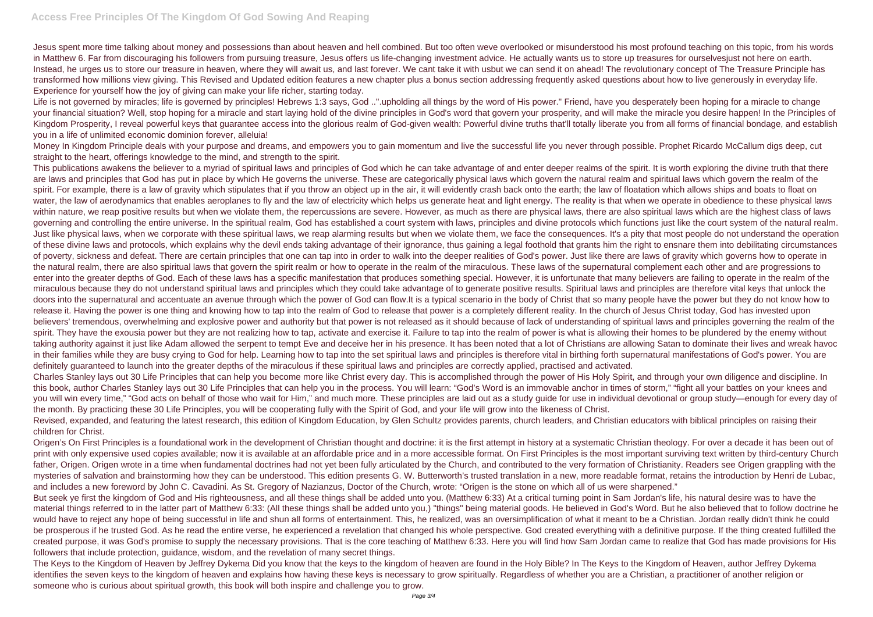Jesus spent more time talking about money and possessions than about heaven and hell combined. But too often weve overlooked or misunderstood his most profound teaching on this topic, from his words in Matthew 6. Far from discouraging his followers from pursuing treasure, Jesus offers us life-changing investment advice. He actually wants us to store up treasures for ourselvesjust not here on earth. Instead, he urges us to store our treasure in heaven, where they will await us, and last forever. We cant take it with usbut we can send it on ahead! The revolutionary concept of The Treasure Principle has transformed how millions view giving. This Revised and Updated edition features a new chapter plus a bonus section addressing frequently asked questions about how to live generously in everyday life. Experience for yourself how the joy of giving can make your life richer, starting today.

Life is not governed by miracles; life is governed by principles! Hebrews 1:3 says, God ..".upholding all things by the word of His power." Friend, have you desperately been hoping for a miracle to change your financial situation? Well, stop hoping for a miracle and start laying hold of the divine principles in God's word that govern your prosperity, and will make the miracle you desire happen! In the Principles of Kingdom Prosperity, I reveal powerful keys that guarantee access into the glorious realm of God-given wealth: Powerful divine truths that'll totally liberate you from all forms of financial bondage, and establish you in a life of unlimited economic dominion forever, alleluia!

Money In Kingdom Principle deals with your purpose and dreams, and empowers you to gain momentum and live the successful life you never through possible. Prophet Ricardo McCallum digs deep, cut straight to the heart, offerings knowledge to the mind, and strength to the spirit.

This publications awakens the believer to a myriad of spiritual laws and principles of God which he can take advantage of and enter deeper realms of the spirit. It is worth exploring the divine truth that there are laws and principles that God has put in place by which He governs the universe. These are categorically physical laws which govern the natural realm and spiritual laws which govern the realm of the spirit. For example, there is a law of gravity which stipulates that if you throw an object up in the air, it will evidently crash back onto the earth; the law of floatation which allows ships and boats to float on water, the law of aerodynamics that enables aeroplanes to fly and the law of electricity which helps us generate heat and light energy. The reality is that when we operate in obedience to these physical laws within nature, we reap positive results but when we violate them, the repercussions are severe. However, as much as there are physical laws, there are also spiritual laws which are the highest class of laws governing and controlling the entire universe. In the spiritual realm, God has established a court system with laws, principles and divine protocols which functions just like the court system of the natural realm. Just like physical laws, when we corporate with these spiritual laws, we reap alarming results but when we violate them, we face the consequences. It's a pity that most people do not understand the operation of these divine laws and protocols, which explains why the devil ends taking advantage of their ignorance, thus gaining a legal foothold that grants him the right to ensnare them into debilitating circumstances of poverty, sickness and defeat. There are certain principles that one can tap into in order to walk into the deeper realities of God's power. Just like there are laws of gravity which governs how to operate in the natural realm, there are also spiritual laws that govern the spirit realm or how to operate in the realm of the miraculous. These laws of the supernatural complement each other and are progressions to enter into the greater depths of God. Each of these laws has a specific manifestation that produces something special. However, it is unfortunate that many believers are failing to operate in the realm of the miraculous because they do not understand spiritual laws and principles which they could take advantage of to generate positive results. Spiritual laws and principles are therefore vital keys that unlock the doors into the supernatural and accentuate an avenue through which the power of God can flow.It is a typical scenario in the body of Christ that so many people have the power but they do not know how to release it. Having the power is one thing and knowing how to tap into the realm of God to release that power is a completely different reality. In the church of Jesus Christ today, God has invested upon believers' tremendous, overwhelming and explosive power and authority but that power is not released as it should because of lack of understanding of spiritual laws and principles governing the realm of the spirit. They have the exousia power but they are not realizing how to tap, activate and exercise it. Failure to tap into the realm of power is what is allowing their homes to be plundered by the enemy without taking authority against it just like Adam allowed the serpent to tempt Eve and deceive her in his presence. It has been noted that a lot of Christians are allowing Satan to dominate their lives and wreak havoc in their families while they are busy crying to God for help. Learning how to tap into the set spiritual laws and principles is therefore vital in birthing forth supernatural manifestations of God's power. You are definitely guaranteed to launch into the greater depths of the miraculous if these spiritual laws and principles are correctly applied, practised and activated. Charles Stanley lays out 30 Life Principles that can help you become more like Christ every day. This is accomplished through the power of His Holy Spirit, and through your own diligence and discipline. In this book, author Charles Stanley lays out 30 Life Principles that can help you in the process. You will learn: "God's Word is an immovable anchor in times of storm," "fight all your battles on your knees and you will win every time," "God acts on behalf of those who wait for Him," and much more. These principles are laid out as a study guide for use in individual devotional or group study—enough for every day of the month. By practicing these 30 Life Principles, you will be cooperating fully with the Spirit of God, and your life will grow into the likeness of Christ. Revised, expanded, and featuring the latest research, this edition of Kingdom Education, by Glen Schultz provides parents, church leaders, and Christian educators with biblical principles on raising their children for Christ.

Origen's On First Principles is a foundational work in the development of Christian thought and doctrine: it is the first attempt in history at a systematic Christian theology. For over a decade it has been out of print with only expensive used copies available; now it is available at an affordable price and in a more accessible format. On First Principles is the most important surviving text written by third-century Church father, Origen. Origen wrote in a time when fundamental doctrines had not yet been fully articulated by the Church, and contributed to the very formation of Christianity. Readers see Origen grappling with the mysteries of salvation and brainstorming how they can be understood. This edition presents G. W. Butterworth's trusted translation in a new, more readable format, retains the introduction by Henri de Lubac, and includes a new foreword by John C. Cavadini. As St. Gregory of Nazianzus, Doctor of the Church, wrote: "Origen is the stone on which all of us were sharpened." But seek ye first the kingdom of God and His righteousness, and all these things shall be added unto you. (Matthew 6:33) At a critical turning point in Sam Jordan's life, his natural desire was to have the material things referred to in the latter part of Matthew 6:33: (All these things shall be added unto you,) "things" being material goods. He believed in God's Word. But he also believed that to follow doctrine he would have to reject any hope of being successful in life and shun all forms of entertainment. This, he realized, was an oversimplification of what it meant to be a Christian. Jordan really didn't think he could be prosperous if he trusted God. As he read the entire verse, he experienced a revelation that changed his whole perspective. God created everything with a definitive purpose. If the thing created fulfilled the created purpose, it was God's promise to supply the necessary provisions. That is the core teaching of Matthew 6:33. Here you will find how Sam Jordan came to realize that God has made provisions for His followers that include protection, guidance, wisdom, and the revelation of many secret things.

The Keys to the Kingdom of Heaven by Jeffrey Dykema Did you know that the keys to the kingdom of heaven are found in the Holy Bible? In The Keys to the Kingdom of Heaven, author Jeffrey Dykema identifies the seven keys to the kingdom of heaven and explains how having these keys is necessary to grow spiritually. Regardless of whether you are a Christian, a practitioner of another religion or someone who is curious about spiritual growth, this book will both inspire and challenge you to grow.